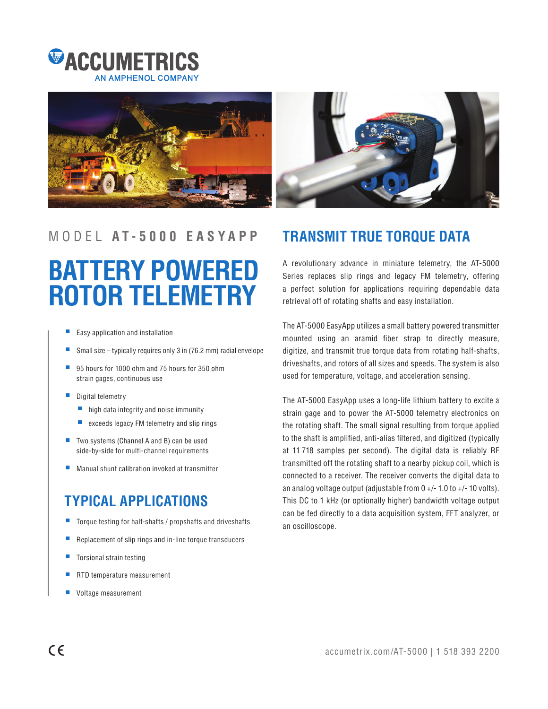



# MODEL **A T - 5 0 0 0 E A S Y A P P TRANSMIT TRUE TORQUE DATA**

# **BATTERY POWERED ROTOR TELEMETRY**

- Easy application and installation
- Small size typically requires only 3 in (76.2 mm) radial envelope
- 95 hours for 1000 ohm and 75 hours for 350 ohm strain gages, continuous use
- Digital telemetry
	- high data integrity and noise immunity
	- exceeds legacy FM telemetry and slip rings
- Two systems (Channel A and B) can be used side-by-side for multi-channel requirements
- Manual shunt calibration invoked at transmitter

# **TYPICAL APPLICATIONS**

- Torque testing for half-shafts / propshafts and driveshafts
- Replacement of slip rings and in-line torque transducers
- Torsional strain testing
- RTD temperature measurement
- Voltage measurement

A revolutionary advance in miniature telemetry, the AT-5000 Series replaces slip rings and legacy FM telemetry, offering a perfect solution for applications requiring dependable data retrieval off of rotating shafts and easy installation.

The AT-5000 EasyApp utilizes a small battery powered transmitter mounted using an aramid fiber strap to directly measure, digitize, and transmit true torque data from rotating half-shafts, driveshafts, and rotors of all sizes and speeds. The system is also used for temperature, voltage, and acceleration sensing.

The AT-5000 EasyApp uses a long-life lithium battery to excite a strain gage and to power the AT-5000 telemetry electronics on the rotating shaft. The small signal resulting from torque applied to the shaft is amplified, anti-alias filtered, and digitized (typically at 11 718 samples per second). The digital data is reliably RF transmitted off the rotating shaft to a nearby pickup coil, which is connected to a receiver. The receiver converts the digital data to an analog voltage output (adjustable from  $0 +/- 1.0$  to  $+/- 10$  volts). This DC to 1 kHz (or optionally higher) bandwidth voltage output can be fed directly to a data acquisition system, FFT analyzer, or an oscilloscope.